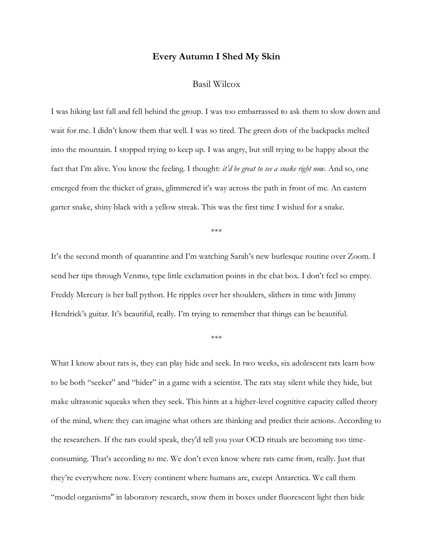## **Every Autumn I Shed My Skin**

## Basil Wilcox

I was hiking last fall and fell behind the group. I was too embarrassed to ask them to slow down and wait for me. I didn't know them that well. I was so tired. The green dots of the backpacks melted into the mountain. I stopped trying to keep up. I was angry, but still trying to be happy about the fact that I'm alive. You know the feeling. I thought: *it'd be great to see a snake right now.* And so, one emerged from the thicket of grass, glimmered it's way across the path in front of me. An eastern garter snake, shiny black with a yellow streak. This was the first time I wished for a snake.

\*\*\*

It's the second month of quarantine and I'm watching Sarah's new burlesque routine over Zoom. I send her tips through Venmo, type little exclamation points in the chat box. I don't feel so empty. Freddy Mercury is her ball python. He ripples over her shoulders, slithers in time with Jimmy Hendrick's guitar. It's beautiful, really. I'm trying to remember that things can be beautiful.

\*\*\*

What I know about rats is, they can play hide and seek. In two weeks, six adolescent rats learn how to be both "seeker" and "hider" in a game with a scientist. The rats stay silent while they hide, but make ultrasonic squeaks when they seek. This hints at a higher-level cognitive capacity called theory of the mind, where they can imagine what others are thinking and predict their actions. According to the researchers. If the rats could speak, they'd tell you your OCD rituals are becoming too timeconsuming. That's according to me. We don't even know where rats came from, really. Just that they're everywhere now. Every continent where humans are, except Antarctica. We call them "model organisms'' in laboratory research, stow them in boxes under fluorescent light then hide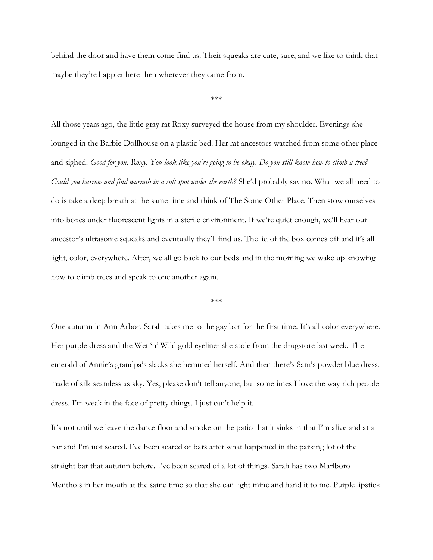behind the door and have them come find us. Their squeaks are cute, sure, and we like to think that maybe they're happier here then wherever they came from.

\*\*\*

All those years ago, the little gray rat Roxy surveyed the house from my shoulder. Evenings she lounged in the Barbie Dollhouse on a plastic bed. Her rat ancestors watched from some other place and sighed. *Good for you, Roxy. You look like you're going to be okay. Do you still know how to climb a tree? Could you burrow and find warmth in a soft spot under the earth?* She'd probably say no. What we all need to do is take a deep breath at the same time and think of The Some Other Place. Then stow ourselves into boxes under fluorescent lights in a sterile environment. If we're quiet enough, we'll hear our ancestor's ultrasonic squeaks and eventually they'll find us. The lid of the box comes off and it's all light, color, everywhere. After, we all go back to our beds and in the morning we wake up knowing how to climb trees and speak to one another again.

\*\*\*

One autumn in Ann Arbor, Sarah takes me to the gay bar for the first time. It's all color everywhere. Her purple dress and the Wet 'n' Wild gold eyeliner she stole from the drugstore last week. The emerald of Annie's grandpa's slacks she hemmed herself. And then there's Sam's powder blue dress, made of silk seamless as sky. Yes, please don't tell anyone, but sometimes I love the way rich people dress. I'm weak in the face of pretty things. I just can't help it.

It's not until we leave the dance floor and smoke on the patio that it sinks in that I'm alive and at a bar and I'm not scared. I've been scared of bars after what happened in the parking lot of the straight bar that autumn before. I've been scared of a lot of things. Sarah has two Marlboro Menthols in her mouth at the same time so that she can light mine and hand it to me. Purple lipstick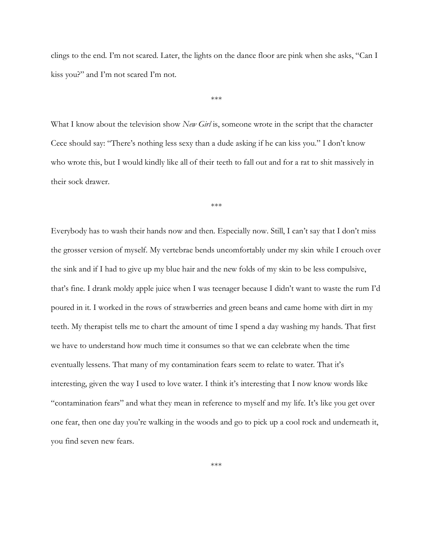clings to the end. I'm not scared. Later, the lights on the dance floor are pink when she asks, "Can I kiss you?" and I'm not scared I'm not.

\*\*\*

What I know about the television show *New Girl* is, someone wrote in the script that the character Cece should say: "There's nothing less sexy than a dude asking if he can kiss you." I don't know who wrote this, but I would kindly like all of their teeth to fall out and for a rat to shit massively in their sock drawer.

\*\*\*

Everybody has to wash their hands now and then. Especially now. Still, I can't say that I don't miss the grosser version of myself. My vertebrae bends uncomfortably under my skin while I crouch over the sink and if I had to give up my blue hair and the new folds of my skin to be less compulsive, that's fine. I drank moldy apple juice when I was teenager because I didn't want to waste the rum I'd poured in it. I worked in the rows of strawberries and green beans and came home with dirt in my teeth. My therapist tells me to chart the amount of time I spend a day washing my hands. That first we have to understand how much time it consumes so that we can celebrate when the time eventually lessens. That many of my contamination fears seem to relate to water. That it's interesting, given the way I used to love water. I think it's interesting that I now know words like "contamination fears" and what they mean in reference to myself and my life. It's like you get over one fear, then one day you're walking in the woods and go to pick up a cool rock and underneath it, you find seven new fears.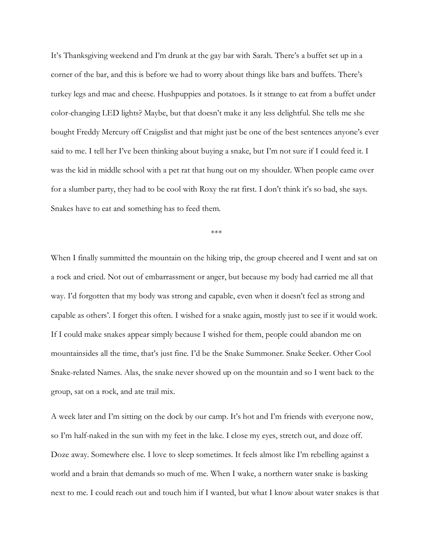It's Thanksgiving weekend and I'm drunk at the gay bar with Sarah. There's a buffet set up in a corner of the bar, and this is before we had to worry about things like bars and buffets. There's turkey legs and mac and cheese. Hushpuppies and potatoes. Is it strange to eat from a buffet under color-changing LED lights? Maybe, but that doesn't make it any less delightful. She tells me she bought Freddy Mercury off Craigslist and that might just be one of the best sentences anyone's ever said to me. I tell her I've been thinking about buying a snake, but I'm not sure if I could feed it. I was the kid in middle school with a pet rat that hung out on my shoulder. When people came over for a slumber party, they had to be cool with Roxy the rat first. I don't think it's so bad, she says. Snakes have to eat and something has to feed them.

\*\*\*

When I finally summitted the mountain on the hiking trip, the group cheered and I went and sat on a rock and cried. Not out of embarrassment or anger, but because my body had carried me all that way. I'd forgotten that my body was strong and capable, even when it doesn't feel as strong and capable as others'. I forget this often. I wished for a snake again, mostly just to see if it would work. If I could make snakes appear simply because I wished for them, people could abandon me on mountainsides all the time, that's just fine. I'd be the Snake Summoner. Snake Seeker. Other Cool Snake-related Names. Alas, the snake never showed up on the mountain and so I went back to the group, sat on a rock, and ate trail mix.

A week later and I'm sitting on the dock by our camp. It's hot and I'm friends with everyone now, so I'm half-naked in the sun with my feet in the lake. I close my eyes, stretch out, and doze off. Doze away. Somewhere else. I love to sleep sometimes. It feels almost like I'm rebelling against a world and a brain that demands so much of me. When I wake, a northern water snake is basking next to me. I could reach out and touch him if I wanted, but what I know about water snakes is that